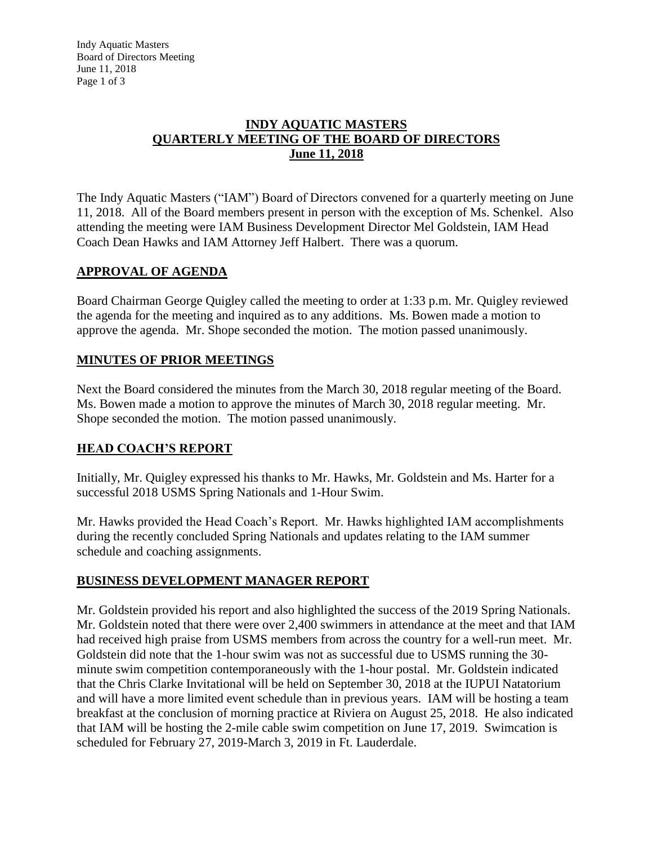Indy Aquatic Masters Board of Directors Meeting June 11, 2018 Page 1 of 3

#### **INDY AQUATIC MASTERS QUARTERLY MEETING OF THE BOARD OF DIRECTORS June 11, 2018**

The Indy Aquatic Masters ("IAM") Board of Directors convened for a quarterly meeting on June 11, 2018. All of the Board members present in person with the exception of Ms. Schenkel. Also attending the meeting were IAM Business Development Director Mel Goldstein, IAM Head Coach Dean Hawks and IAM Attorney Jeff Halbert. There was a quorum.

## **APPROVAL OF AGENDA**

Board Chairman George Quigley called the meeting to order at 1:33 p.m. Mr. Quigley reviewed the agenda for the meeting and inquired as to any additions. Ms. Bowen made a motion to approve the agenda. Mr. Shope seconded the motion. The motion passed unanimously.

#### **MINUTES OF PRIOR MEETINGS**

Next the Board considered the minutes from the March 30, 2018 regular meeting of the Board. Ms. Bowen made a motion to approve the minutes of March 30, 2018 regular meeting. Mr. Shope seconded the motion. The motion passed unanimously.

## **HEAD COACH'S REPORT**

Initially, Mr. Quigley expressed his thanks to Mr. Hawks, Mr. Goldstein and Ms. Harter for a successful 2018 USMS Spring Nationals and 1-Hour Swim.

Mr. Hawks provided the Head Coach's Report. Mr. Hawks highlighted IAM accomplishments during the recently concluded Spring Nationals and updates relating to the IAM summer schedule and coaching assignments.

#### **BUSINESS DEVELOPMENT MANAGER REPORT**

Mr. Goldstein provided his report and also highlighted the success of the 2019 Spring Nationals. Mr. Goldstein noted that there were over 2,400 swimmers in attendance at the meet and that IAM had received high praise from USMS members from across the country for a well-run meet. Mr. Goldstein did note that the 1-hour swim was not as successful due to USMS running the 30 minute swim competition contemporaneously with the 1-hour postal. Mr. Goldstein indicated that the Chris Clarke Invitational will be held on September 30, 2018 at the IUPUI Natatorium and will have a more limited event schedule than in previous years. IAM will be hosting a team breakfast at the conclusion of morning practice at Riviera on August 25, 2018. He also indicated that IAM will be hosting the 2-mile cable swim competition on June 17, 2019. Swimcation is scheduled for February 27, 2019-March 3, 2019 in Ft. Lauderdale.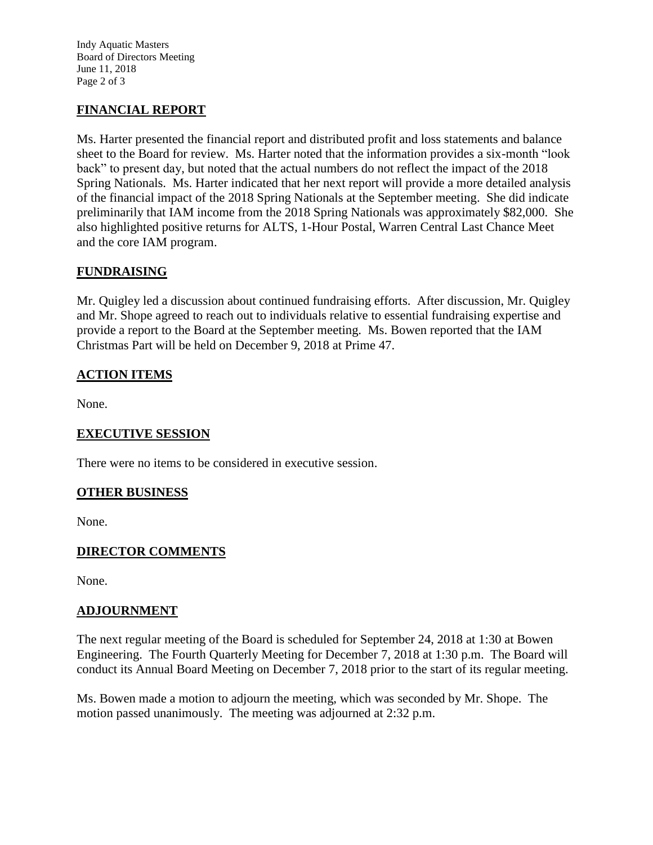Indy Aquatic Masters Board of Directors Meeting June 11, 2018 Page 2 of 3

## **FINANCIAL REPORT**

Ms. Harter presented the financial report and distributed profit and loss statements and balance sheet to the Board for review. Ms. Harter noted that the information provides a six-month "look back" to present day, but noted that the actual numbers do not reflect the impact of the 2018 Spring Nationals. Ms. Harter indicated that her next report will provide a more detailed analysis of the financial impact of the 2018 Spring Nationals at the September meeting. She did indicate preliminarily that IAM income from the 2018 Spring Nationals was approximately \$82,000. She also highlighted positive returns for ALTS, 1-Hour Postal, Warren Central Last Chance Meet and the core IAM program.

## **FUNDRAISING**

Mr. Quigley led a discussion about continued fundraising efforts. After discussion, Mr. Quigley and Mr. Shope agreed to reach out to individuals relative to essential fundraising expertise and provide a report to the Board at the September meeting. Ms. Bowen reported that the IAM Christmas Part will be held on December 9, 2018 at Prime 47.

# **ACTION ITEMS**

None.

## **EXECUTIVE SESSION**

There were no items to be considered in executive session.

#### **OTHER BUSINESS**

None.

## **DIRECTOR COMMENTS**

None.

#### **ADJOURNMENT**

The next regular meeting of the Board is scheduled for September 24, 2018 at 1:30 at Bowen Engineering. The Fourth Quarterly Meeting for December 7, 2018 at 1:30 p.m. The Board will conduct its Annual Board Meeting on December 7, 2018 prior to the start of its regular meeting.

Ms. Bowen made a motion to adjourn the meeting, which was seconded by Mr. Shope. The motion passed unanimously. The meeting was adjourned at 2:32 p.m.